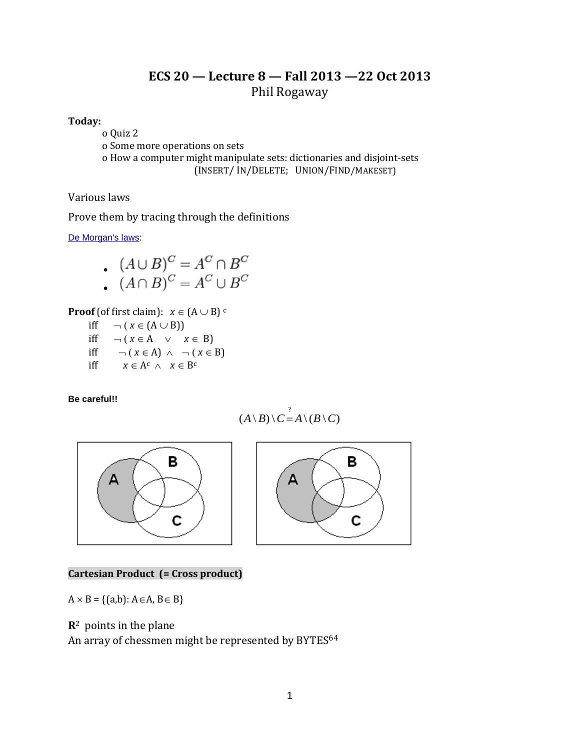# **ECS 20 — Lecture 8 — Fall 2013 —22 Oct 2013** Phil Rogaway

### **Today:**

o Quiz 2 o Some more operations on sets o How a computer might manipulate sets: dictionaries and disjoint-sets (INSERT/ IN/DELETE; UNION/FIND/MAKESET)

### Various laws

Prove them by tracing through the definitions

[De Morgan's laws:](http://en.wikipedia.org/wiki/De_Morgan%27s_laws)

$$
\bullet \ \ (A \cup B)^C = A^C \cap B^C
$$

$$
(A \cap B)^C = A^C \cap B^C
$$

$$
(A \cap B)^{\circ} = A^{\circ} \cup B^{\circ}
$$

**Proof** (of first claim):  $x \in (A \cup B)$ <sup>c</sup>

- iff  $\neg (x \in (A \cup B))$ iff  $\neg (x \in A \lor x \in B)$
- iff  $\neg (x \in A) \land \neg (x \in B)$
- iff  $x \in A^c \wedge x \in B^c$

**Be careful!!**

$$
(A \setminus B) \setminus C = A \setminus (B \setminus C)
$$





## **Cartesian Product (= Cross product)**

 $A \times B = \{(a,b): A \in A, B \in B\}$ 

# **R**2 points in the plane

An array of chessmen might be represented by BYTES<sup>64</sup>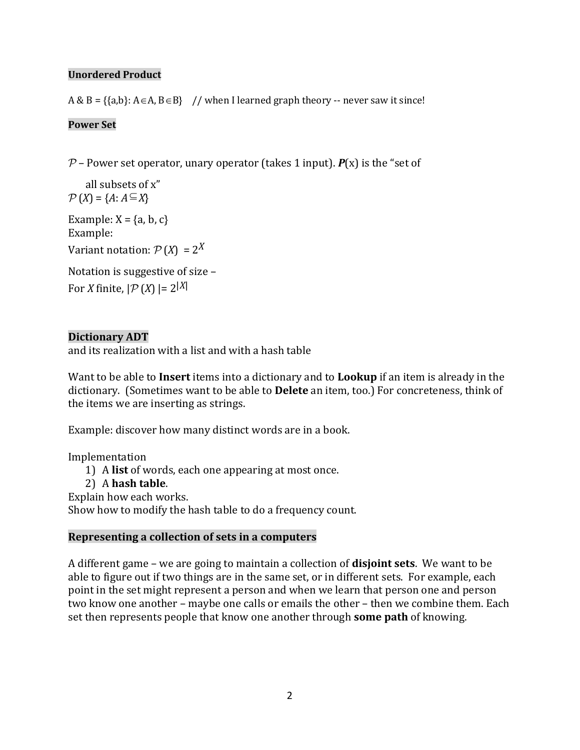# **Unordered Product**

 $A & B = \{ \{a,b\}: A \in A, B \in B \}$  // when I learned graph theory -- never saw it since!

# **Power Set**

 $P$  – Power set operator, unary operator (takes 1 input).  $P(x)$  is the "set of

 all subsets of x"  $\mathcal{P}(X) = \{A : A \subseteq X\}$ 

Example:  $X = \{a, b, c\}$ Example:

Variant notation:  $P(X) = 2^X$ 

Notation is suggestive of size – For *X* finite,  $|\mathcal{P}(X)| = 2^{|X|}$ 

# **Dictionary ADT**

and its realization with a list and with a hash table

Want to be able to **Insert** items into a dictionary and to **Lookup** if an item is already in the dictionary. (Sometimes want to be able to **Delete** an item, too.) For concreteness, think of the items we are inserting as strings.

Example: discover how many distinct words are in a book.

Implementation

- 1) A **list** of words, each one appearing at most once.
- 2) A **hash table**.

Explain how each works.

Show how to modify the hash table to do a frequency count.

## **Representing a collection of sets in a computers**

A different game – we are going to maintain a collection of **disjoint sets**. We want to be able to figure out if two things are in the same set, or in different sets. For example, each point in the set might represent a person and when we learn that person one and person two know one another – maybe one calls or emails the other – then we combine them. Each set then represents people that know one another through **some path** of knowing.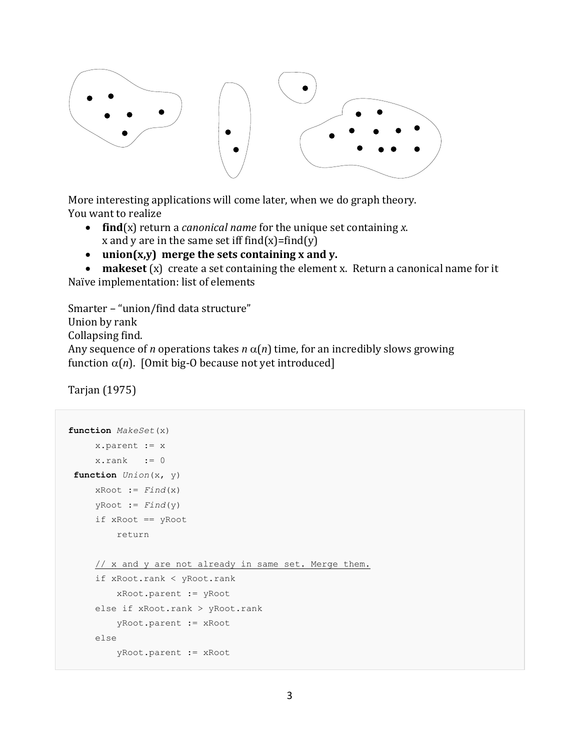

More interesting applications will come later, when we do graph theory. You want to realize

- **find**(x) return a *canonical name* for the unique set containing *x*. x and y are in the same set iff find $(x)$ =find $(y)$
- **union(x,y) merge the sets containing x and y.**

 **makeset** (x) create a set containing the element x. Return a canonical name for it Naïve implementation: list of elements

```
Smarter – "union/find data structure"
Union by rank
Collapsing find.
Any sequence of n operations takes n \alpha(n) time, for an incredibly slows growing
function \alpha(n). [Omit big-O because not yet introduced]
```
Tarjan (1975)

```
function MakeSet(x)
      x.parent := x
     x.rank := 0function Union(x, y)
     xRoot := Find(x)yRoot := Find(y) if xRoot == yRoot
          return
      // x and y are not already in same set. Merge them.
      if xRoot.rank < yRoot.rank
          xRoot.parent := yRoot
      else if xRoot.rank > yRoot.rank
          yRoot.parent := xRoot
      else
          yRoot.parent := xRoot
```